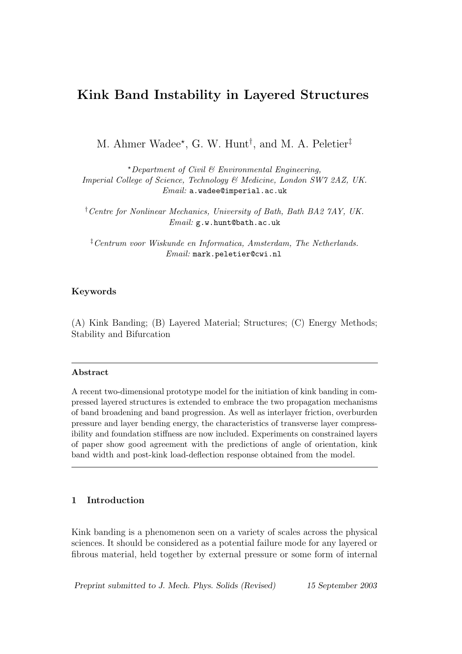# Kink Band Instability in Layered Structures

M. Ahmer Wadee<sup>\*</sup>, G. W. Hunt<sup>†</sup>, and M. A. Peletier<sup>‡</sup>

 $^{\star}$ Department of Civil & Environmental Engineering, Imperial College of Science, Technology & Medicine, London SW7 2AZ, UK. Email: a.wadee@imperial.ac.uk

†Centre for Nonlinear Mechanics, University of Bath, Bath BA2 7AY, UK. Email: g.w.hunt@bath.ac.uk

‡Centrum voor Wiskunde en Informatica, Amsterdam, The Netherlands. Email: mark.peletier@cwi.nl

# Keywords

(A) Kink Banding; (B) Layered Material; Structures; (C) Energy Methods; Stability and Bifurcation

#### Abstract

A recent two-dimensional prototype model for the initiation of kink banding in compressed layered structures is extended to embrace the two propagation mechanisms of band broadening and band progression. As well as interlayer friction, overburden pressure and layer bending energy, the characteristics of transverse layer compressibility and foundation stiffness are now included. Experiments on constrained layers of paper show good agreement with the predictions of angle of orientation, kink band width and post-kink load-deflection response obtained from the model.

# 1 Introduction

Kink banding is a phenomenon seen on a variety of scales across the physical sciences. It should be considered as a potential failure mode for any layered or fibrous material, held together by external pressure or some form of internal

Preprint submitted to J. Mech. Phys. Solids (Revised) 15 September 2003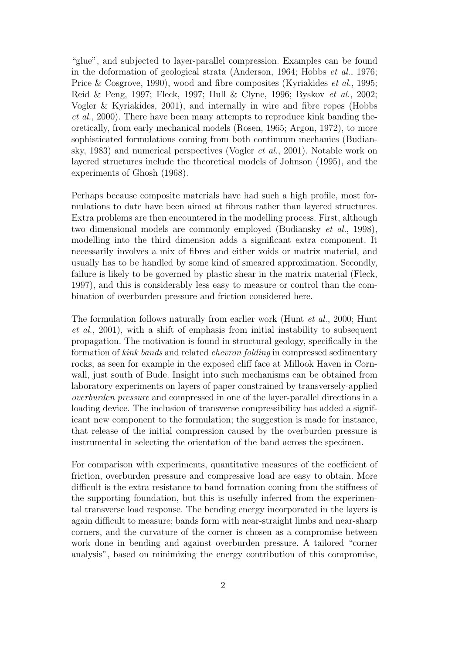"glue", and subjected to layer-parallel compression. Examples can be found in the deformation of geological strata (Anderson, 1964; Hobbs et al., 1976; Price & Cosgrove, 1990), wood and fibre composites (Kyriakides *et al.*, 1995; Reid & Peng, 1997; Fleck, 1997; Hull & Clyne, 1996; Byskov et al., 2002; Vogler & Kyriakides, 2001), and internally in wire and fibre ropes (Hobbs et al., 2000). There have been many attempts to reproduce kink banding theoretically, from early mechanical models (Rosen, 1965; Argon, 1972), to more sophisticated formulations coming from both continuum mechanics (Budiansky, 1983) and numerical perspectives (Vogler et al., 2001). Notable work on layered structures include the theoretical models of Johnson (1995), and the experiments of Ghosh (1968).

Perhaps because composite materials have had such a high profile, most formulations to date have been aimed at fibrous rather than layered structures. Extra problems are then encountered in the modelling process. First, although two dimensional models are commonly employed (Budiansky et al., 1998), modelling into the third dimension adds a significant extra component. It necessarily involves a mix of fibres and either voids or matrix material, and usually has to be handled by some kind of smeared approximation. Secondly, failure is likely to be governed by plastic shear in the matrix material (Fleck, 1997), and this is considerably less easy to measure or control than the combination of overburden pressure and friction considered here.

The formulation follows naturally from earlier work (Hunt et al., 2000; Hunt et al., 2001), with a shift of emphasis from initial instability to subsequent propagation. The motivation is found in structural geology, specifically in the formation of kink bands and related chevron folding in compressed sedimentary rocks, as seen for example in the exposed cliff face at Millook Haven in Cornwall, just south of Bude. Insight into such mechanisms can be obtained from laboratory experiments on layers of paper constrained by transversely-applied overburden pressure and compressed in one of the layer-parallel directions in a loading device. The inclusion of transverse compressibility has added a significant new component to the formulation; the suggestion is made for instance, that release of the initial compression caused by the overburden pressure is instrumental in selecting the orientation of the band across the specimen.

For comparison with experiments, quantitative measures of the coefficient of friction, overburden pressure and compressive load are easy to obtain. More difficult is the extra resistance to band formation coming from the stiffness of the supporting foundation, but this is usefully inferred from the experimental transverse load response. The bending energy incorporated in the layers is again difficult to measure; bands form with near-straight limbs and near-sharp corners, and the curvature of the corner is chosen as a compromise between work done in bending and against overburden pressure. A tailored "corner analysis", based on minimizing the energy contribution of this compromise,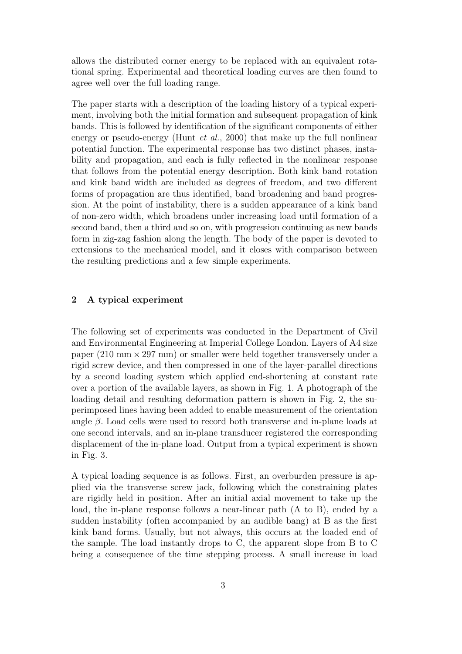allows the distributed corner energy to be replaced with an equivalent rotational spring. Experimental and theoretical loading curves are then found to agree well over the full loading range.

The paper starts with a description of the loading history of a typical experiment, involving both the initial formation and subsequent propagation of kink bands. This is followed by identification of the significant components of either energy or pseudo-energy (Hunt *et al.*, 2000) that make up the full nonlinear potential function. The experimental response has two distinct phases, instability and propagation, and each is fully reflected in the nonlinear response that follows from the potential energy description. Both kink band rotation and kink band width are included as degrees of freedom, and two different forms of propagation are thus identified, band broadening and band progression. At the point of instability, there is a sudden appearance of a kink band of non-zero width, which broadens under increasing load until formation of a second band, then a third and so on, with progression continuing as new bands form in zig-zag fashion along the length. The body of the paper is devoted to extensions to the mechanical model, and it closes with comparison between the resulting predictions and a few simple experiments.

### 2 A typical experiment

The following set of experiments was conducted in the Department of Civil and Environmental Engineering at Imperial College London. Layers of A4 size paper  $(210 \text{ mm} \times 297 \text{ mm})$  or smaller were held together transversely under a rigid screw device, and then compressed in one of the layer-parallel directions by a second loading system which applied end-shortening at constant rate over a portion of the available layers, as shown in Fig. 1. A photograph of the loading detail and resulting deformation pattern is shown in Fig. 2, the superimposed lines having been added to enable measurement of the orientation angle  $\beta$ . Load cells were used to record both transverse and in-plane loads at one second intervals, and an in-plane transducer registered the corresponding displacement of the in-plane load. Output from a typical experiment is shown in Fig. 3.

A typical loading sequence is as follows. First, an overburden pressure is applied via the transverse screw jack, following which the constraining plates are rigidly held in position. After an initial axial movement to take up the load, the in-plane response follows a near-linear path (A to B), ended by a sudden instability (often accompanied by an audible bang) at B as the first kink band forms. Usually, but not always, this occurs at the loaded end of the sample. The load instantly drops to C, the apparent slope from B to C being a consequence of the time stepping process. A small increase in load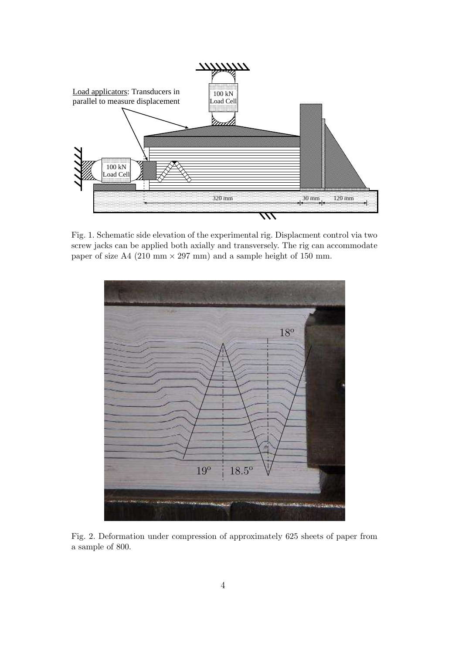

Fig. 1. Schematic side elevation of the experimental rig. Displacment control via two screw jacks can be applied both axially and transversely. The rig can accommodate paper of size A4 (210 mm  $\times$  297 mm) and a sample height of 150 mm.



Fig. 2. Deformation under compression of approximately 625 sheets of paper from a sample of 800.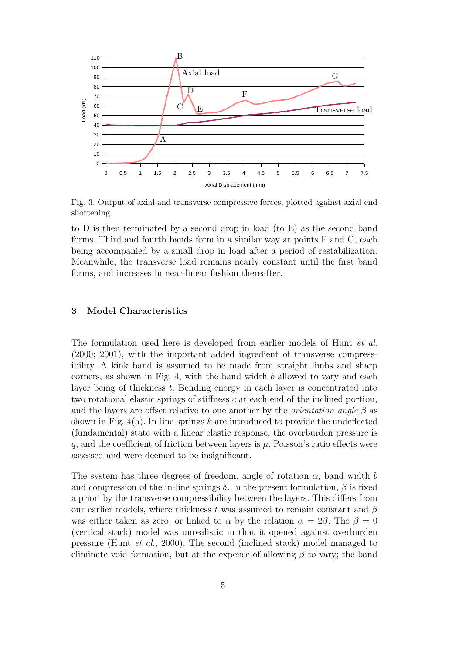

Fig. 3. Output of axial and transverse compressive forces, plotted against axial end shortening.

to D is then terminated by a second drop in load (to E) as the second band forms. Third and fourth bands form in a similar way at points F and G, each being accompanied by a small drop in load after a period of restabilization. Meanwhile, the transverse load remains nearly constant until the first band forms, and increases in near-linear fashion thereafter.

# 3 Model Characteristics

The formulation used here is developed from earlier models of Hunt et al. (2000; 2001), with the important added ingredient of transverse compressibility. A kink band is assumed to be made from straight limbs and sharp corners, as shown in Fig. 4, with the band width  $b$  allowed to vary and each layer being of thickness t. Bending energy in each layer is concentrated into two rotational elastic springs of stiffness  $c$  at each end of the inclined portion, and the layers are offset relative to one another by the *orientation angle*  $\beta$  as shown in Fig.  $4(a)$ . In-line springs k are introduced to provide the undeflected (fundamental) state with a linear elastic response, the overburden pressure is q, and the coefficient of friction between layers is  $\mu$ . Poisson's ratio effects were assessed and were deemed to be insignificant.

The system has three degrees of freedom, angle of rotation  $\alpha$ , band width b and compression of the in-line springs  $\delta$ . In the present formulation,  $\beta$  is fixed a priori by the transverse compressibility between the layers. This differs from our earlier models, where thickness t was assumed to remain constant and  $\beta$ was either taken as zero, or linked to  $\alpha$  by the relation  $\alpha = 2\beta$ . The  $\beta = 0$ (vertical stack) model was unrealistic in that it opened against overburden pressure (Hunt et al., 2000). The second (inclined stack) model managed to eliminate void formation, but at the expense of allowing  $\beta$  to vary; the band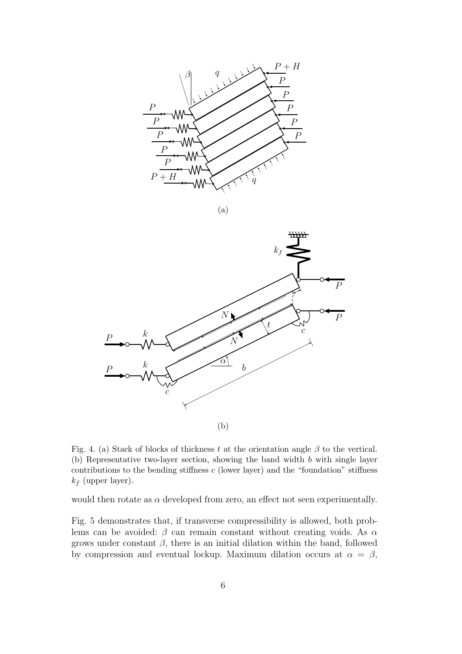





Fig. 4. (a) Stack of blocks of thickness t at the orientation angle  $\beta$  to the vertical. (b) Representative two-layer section, showing the band width b with single layer contributions to the bending stiffness  $c$  (lower layer) and the "foundation" stiffness  $k_f$  (upper layer).

would then rotate as  $\alpha$  developed from zero, an effect not seen experimentally.

Fig. 5 demonstrates that, if transverse compressibility is allowed, both problems can be avoided:  $\beta$  can remain constant without creating voids. As  $\alpha$ grows under constant  $\beta$ , there is an initial dilation within the band, followed by compression and eventual lockup. Maximum dilation occurs at  $\alpha = \beta$ ,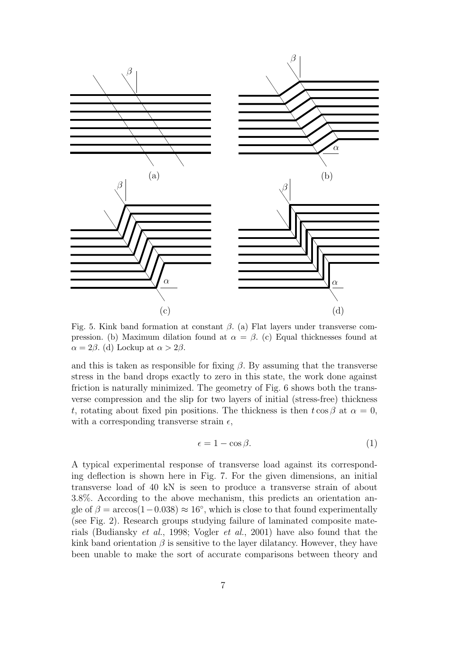

Fig. 5. Kink band formation at constant  $\beta$ . (a) Flat layers under transverse compression. (b) Maximum dilation found at  $\alpha = \beta$ . (c) Equal thicknesses found at  $\alpha = 2\beta$ . (d) Lockup at  $\alpha > 2\beta$ .

and this is taken as responsible for fixing  $\beta$ . By assuming that the transverse stress in the band drops exactly to zero in this state, the work done against friction is naturally minimized. The geometry of Fig. 6 shows both the transverse compression and the slip for two layers of initial (stress-free) thickness t, rotating about fixed pin positions. The thickness is then  $t \cos \beta$  at  $\alpha = 0$ , with a corresponding transverse strain  $\epsilon$ ,

$$
\epsilon = 1 - \cos \beta. \tag{1}
$$

A typical experimental response of transverse load against its corresponding deflection is shown here in Fig. 7. For the given dimensions, an initial transverse load of 40 kN is seen to produce a transverse strain of about 3.8%. According to the above mechanism, this predicts an orientation angle of  $\beta = \arccos(1 - 0.038) \approx 16^{\circ}$ , which is close to that found experimentally (see Fig. 2). Research groups studying failure of laminated composite materials (Budiansky et al., 1998; Vogler et al., 2001) have also found that the kink band orientation  $\beta$  is sensitive to the layer dilatancy. However, they have been unable to make the sort of accurate comparisons between theory and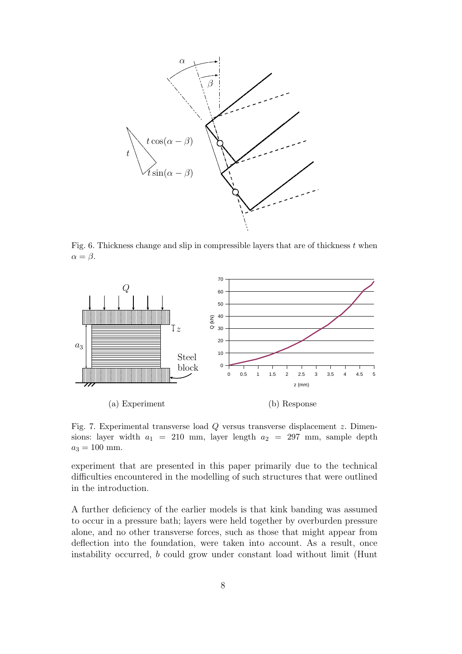

Fig. 6. Thickness change and slip in compressible layers that are of thickness  $t$  when  $\alpha = \beta$ .



Fig. 7. Experimental transverse load Q versus transverse displacement z. Dimensions: layer width  $a_1 = 210$  mm, layer length  $a_2 = 297$  mm, sample depth  $a_3 = 100$  mm.

experiment that are presented in this paper primarily due to the technical difficulties encountered in the modelling of such structures that were outlined in the introduction.

A further deficiency of the earlier models is that kink banding was assumed to occur in a pressure bath; layers were held together by overburden pressure alone, and no other transverse forces, such as those that might appear from deflection into the foundation, were taken into account. As a result, once instability occurred, b could grow under constant load without limit (Hunt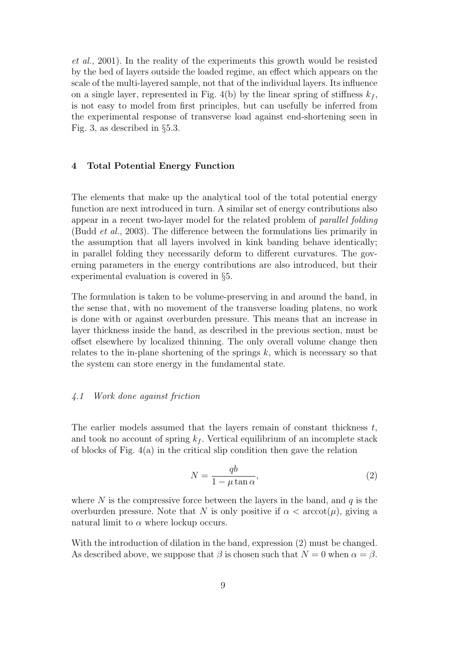et al., 2001). In the reality of the experiments this growth would be resisted by the bed of layers outside the loaded regime, an effect which appears on the scale of the multi-layered sample, not that of the individual layers. Its influence on a single layer, represented in Fig. 4(b) by the linear spring of stiffness  $k_f$ , is not easy to model from first principles, but can usefully be inferred from the experimental response of transverse load against end-shortening seen in Fig. 3, as described in §5.3.

### 4 Total Potential Energy Function

The elements that make up the analytical tool of the total potential energy function are next introduced in turn. A similar set of energy contributions also appear in a recent two-layer model for the related problem of parallel folding (Budd et al., 2003). The difference between the formulations lies primarily in the assumption that all layers involved in kink banding behave identically; in parallel folding they necessarily deform to different curvatures. The governing parameters in the energy contributions are also introduced, but their experimental evaluation is covered in §5.

The formulation is taken to be volume-preserving in and around the band, in the sense that, with no movement of the transverse loading platens, no work is done with or against overburden pressure. This means that an increase in layer thickness inside the band, as described in the previous section, must be offset elsewhere by localized thinning. The only overall volume change then relates to the in-plane shortening of the springs  $k$ , which is necessary so that the system can store energy in the fundamental state.

#### 4.1 Work done against friction

The earlier models assumed that the layers remain of constant thickness  $t$ , and took no account of spring  $k_f$ . Vertical equilibrium of an incomplete stack of blocks of Fig. 4(a) in the critical slip condition then gave the relation

$$
N = \frac{qb}{1 - \mu \tan \alpha},\tag{2}
$$

where  $N$  is the compressive force between the layers in the band, and  $q$  is the overburden pressure. Note that N is only positive if  $\alpha < \arccot(\mu)$ , giving a natural limit to  $\alpha$  where lockup occurs.

With the introduction of dilation in the band, expression (2) must be changed. As described above, we suppose that  $\beta$  is chosen such that  $N = 0$  when  $\alpha = \beta$ .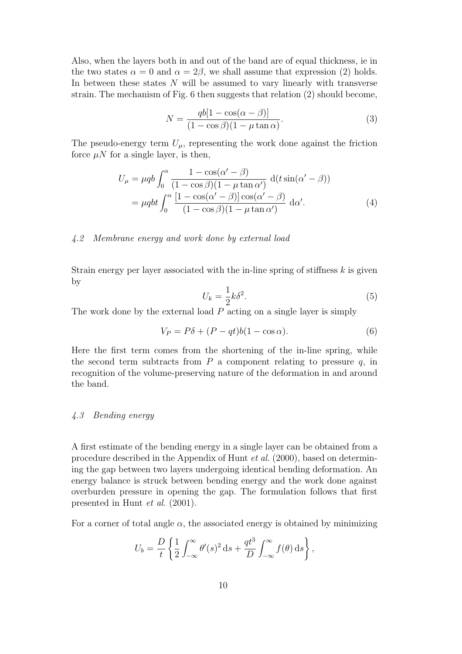Also, when the layers both in and out of the band are of equal thickness, ie in the two states  $\alpha = 0$  and  $\alpha = 2\beta$ , we shall assume that expression (2) holds. In between these states  $N$  will be assumed to vary linearly with transverse strain. The mechanism of Fig. 6 then suggests that relation (2) should become,

$$
N = \frac{qb[1 - \cos(\alpha - \beta)]}{(1 - \cos\beta)(1 - \mu\tan\alpha)}.
$$
\n(3)

The pseudo-energy term  $U_{\mu}$ , representing the work done against the friction force  $\mu N$  for a single layer, is then,

$$
U_{\mu} = \mu qb \int_0^{\alpha} \frac{1 - \cos(\alpha' - \beta)}{(1 - \cos \beta)(1 - \mu \tan \alpha')} d(t \sin(\alpha' - \beta))
$$
  
= 
$$
\mu qbt \int_0^{\alpha} \frac{[1 - \cos(\alpha' - \beta)] \cos(\alpha' - \beta)}{(1 - \cos \beta)(1 - \mu \tan \alpha')} d\alpha'.
$$
 (4)

#### 4.2 Membrane energy and work done by external load

Strain energy per layer associated with the in-line spring of stiffness  $k$  is given by

$$
U_k = \frac{1}{2}k\delta^2.
$$
\n<sup>(5)</sup>

The work done by the external load P acting on a single layer is simply

$$
V_P = P\delta + (P - qt)b(1 - \cos \alpha). \tag{6}
$$

Here the first term comes from the shortening of the in-line spring, while the second term subtracts from  $P$  a component relating to pressure  $q$ , in recognition of the volume-preserving nature of the deformation in and around the band.

## 4.3 Bending energy

A first estimate of the bending energy in a single layer can be obtained from a procedure described in the Appendix of Hunt et al. (2000), based on determining the gap between two layers undergoing identical bending deformation. An energy balance is struck between bending energy and the work done against overburden pressure in opening the gap. The formulation follows that first presented in Hunt et al. (2001).

For a corner of total angle  $\alpha$ , the associated energy is obtained by minimizing

$$
U_b = \frac{D}{t} \left\{ \frac{1}{2} \int_{-\infty}^{\infty} \theta'(s)^2 \, ds + \frac{qt^3}{D} \int_{-\infty}^{\infty} f(\theta) \, ds \right\},\,
$$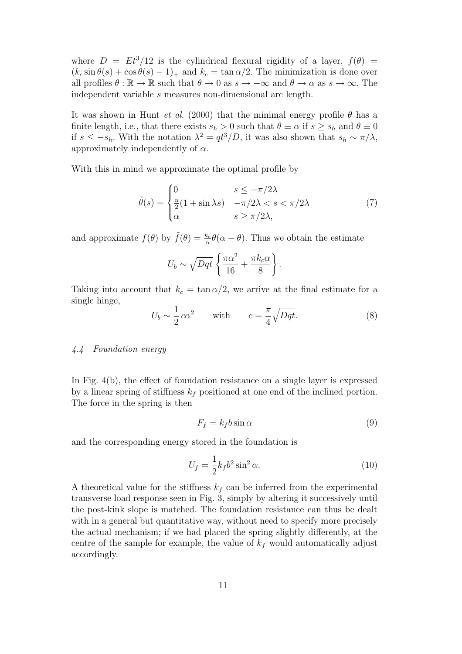where  $D = Et^3/12$  is the cylindrical flexural rigidity of a layer,  $f(\theta)$  =  $(k_c \sin \theta(s) + \cos \theta(s) - 1)$  and  $k_c = \tan \alpha/2$ . The minimization is done over all profiles  $\theta : \mathbb{R} \to \mathbb{R}$  such that  $\theta \to 0$  as  $s \to -\infty$  and  $\theta \to \alpha$  as  $s \to \infty$ . The independent variable s measures non-dimensional arc length.

It was shown in Hunt *et al.* (2000) that the minimal energy profile  $\theta$  has a finite length, i.e., that there exists  $s_h > 0$  such that  $\theta \equiv \alpha$  if  $s \geq s_h$  and  $\theta \equiv 0$ if  $s \leq -s_h$ . With the notation  $\lambda^2 = qt^3/D$ , it was also shown that  $s_h \sim \pi/\lambda$ , approximately independently of  $\alpha$ .

With this in mind we approximate the optimal profile by

$$
\tilde{\theta}(s) = \begin{cases}\n0 & s \le -\pi/2\lambda \\
\frac{\alpha}{2}(1 + \sin \lambda s) & -\pi/2\lambda < s < \pi/2\lambda \\
\alpha & s \ge \pi/2\lambda,\n\end{cases} (7)
$$

and approximate  $f(\theta)$  by  $\tilde{f}(\theta) = \frac{k_c}{\alpha}$  $\frac{k_c}{\alpha}$  $\theta(\alpha - \theta)$ . Thus we obtain the estimate

$$
U_b \sim \sqrt{Dqt} \left\{ \frac{\pi \alpha^2}{16} + \frac{\pi k_c \alpha}{8} \right\}.
$$

Taking into account that  $k_c = \tan \alpha/2$ , we arrive at the final estimate for a single hinge,

$$
U_b \sim \frac{1}{2} c \alpha^2 \qquad \text{with} \qquad c = \frac{\pi}{4} \sqrt{Dqt}.\tag{8}
$$

## 4.4 Foundation energy

In Fig. 4(b), the effect of foundation resistance on a single layer is expressed by a linear spring of stiffness  $k_f$  positioned at one end of the inclined portion. The force in the spring is then

$$
F_f = k_f b \sin \alpha \tag{9}
$$

and the corresponding energy stored in the foundation is

$$
U_f = \frac{1}{2}k_f b^2 \sin^2 \alpha.
$$
 (10)

A theoretical value for the stiffness  $k_f$  can be inferred from the experimental transverse load response seen in Fig. 3, simply by altering it successively until the post-kink slope is matched. The foundation resistance can thus be dealt with in a general but quantitative way, without need to specify more precisely the actual mechanism; if we had placed the spring slightly differently, at the centre of the sample for example, the value of  $k_f$  would automatically adjust accordingly.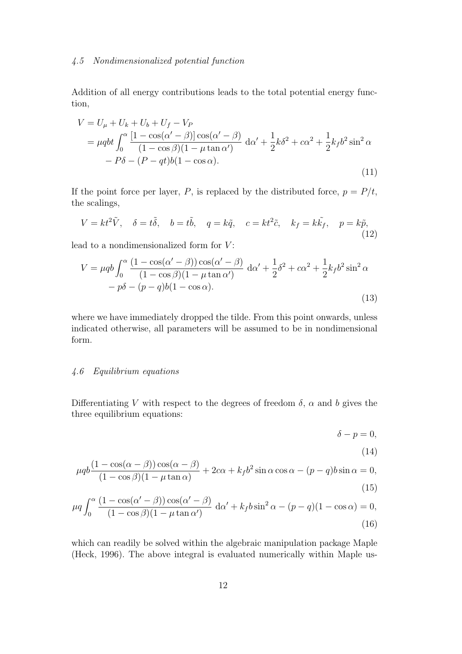## 4.5 Nondimensionalized potential function

Addition of all energy contributions leads to the total potential energy function,

$$
V = U_{\mu} + U_{k} + U_{b} + U_{f} - V_{P}
$$
  
=  $\mu q b t \int_{0}^{\alpha} \frac{[1 - \cos(\alpha' - \beta)] \cos(\alpha' - \beta)}{(1 - \cos\beta)(1 - \mu \tan\alpha')} d\alpha' + \frac{1}{2} k \delta^{2} + c\alpha^{2} + \frac{1}{2} k_{f} b^{2} \sin^{2} \alpha$   
-  $P\delta - (P - qt)b(1 - \cos\alpha).$  (11)

If the point force per layer, P, is replaced by the distributed force,  $p = P/t$ , the scalings,

$$
V = kt^2 \tilde{V}, \quad \delta = t\tilde{\delta}, \quad b = t\tilde{b}, \quad q = k\tilde{q}, \quad c = kt^2 \tilde{c}, \quad k_f = k\tilde{k}_f, \quad p = k\tilde{p}, \tag{12}
$$

lead to a nondimensionalized form for  $V$ :

$$
V = \mu qb \int_0^\alpha \frac{(1 - \cos(\alpha' - \beta))\cos(\alpha' - \beta)}{(1 - \cos\beta)(1 - \mu \tan \alpha')} d\alpha' + \frac{1}{2}\delta^2 + c\alpha^2 + \frac{1}{2}k_f b^2 \sin^2 \alpha - p\delta - (p - q)b(1 - \cos \alpha).
$$
\n(13)

where we have immediately dropped the tilde. From this point onwards, unless indicated otherwise, all parameters will be assumed to be in nondimensional form.

### 4.6 Equilibrium equations

Differentiating V with respect to the degrees of freedom  $\delta$ ,  $\alpha$  and b gives the three equilibrium equations:

$$
\delta - p = 0,
$$
\n(14)

$$
\mu qb \frac{(1 - \cos(\alpha - \beta))\cos(\alpha - \beta)}{(1 - \cos\beta)(1 - \mu\tan\alpha)} + 2c\alpha + k_f b^2 \sin\alpha \cos\alpha - (p - q)b \sin\alpha = 0,
$$
\n(15)

$$
\mu q \int_0^{\alpha} \frac{(1 - \cos(\alpha' - \beta))\cos(\alpha' - \beta)}{(1 - \cos\beta)(1 - \mu \tan\alpha')} d\alpha' + k_f b \sin^2 \alpha - (p - q)(1 - \cos\alpha) = 0,
$$
\n(16)

which can readily be solved within the algebraic manipulation package Maple (Heck, 1996). The above integral is evaluated numerically within Maple us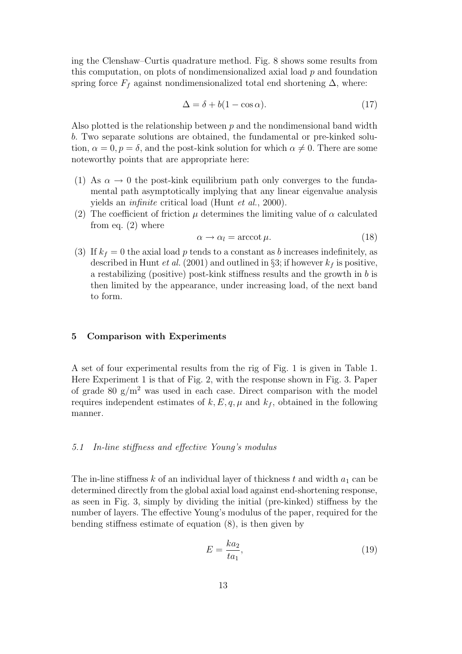ing the Clenshaw–Curtis quadrature method. Fig. 8 shows some results from this computation, on plots of nondimensionalized axial load  $p$  and foundation spring force  $F_f$  against nondimensionalized total end shortening  $\Delta$ , where:

$$
\Delta = \delta + b(1 - \cos \alpha). \tag{17}
$$

Also plotted is the relationship between  $p$  and the nondimensional band width b. Two separate solutions are obtained, the fundamental or pre-kinked solution,  $\alpha = 0, p = \delta$ , and the post-kink solution for which  $\alpha \neq 0$ . There are some noteworthy points that are appropriate here:

- (1) As  $\alpha \to 0$  the post-kink equilibrium path only converges to the fundamental path asymptotically implying that any linear eigenvalue analysis yields an infinite critical load (Hunt et al., 2000).
- (2) The coefficient of friction  $\mu$  determines the limiting value of  $\alpha$  calculated from eq.  $(2)$  where

$$
\alpha \to \alpha_l = \operatorname{arccot} \mu. \tag{18}
$$

(3) If  $k_f = 0$  the axial load p tends to a constant as b increases indefinitely, as described in Hunt *et al.* (2001) and outlined in §3; if however  $k_f$  is positive, a restabilizing (positive) post-kink stiffness results and the growth in b is then limited by the appearance, under increasing load, of the next band to form.

#### 5 Comparison with Experiments

A set of four experimental results from the rig of Fig. 1 is given in Table 1. Here Experiment 1 is that of Fig. 2, with the response shown in Fig. 3. Paper of grade 80  $g/m^2$  was used in each case. Direct comparison with the model requires independent estimates of  $k, E, q, \mu$  and  $k_f$ , obtained in the following manner.

# 5.1 In-line stiffness and effective Young's modulus

The in-line stiffness k of an individual layer of thickness t and width  $a_1$  can be determined directly from the global axial load against end-shortening response, as seen in Fig. 3, simply by dividing the initial (pre-kinked) stiffness by the number of layers. The effective Young's modulus of the paper, required for the bending stiffness estimate of equation (8), is then given by

$$
E = \frac{ka_2}{ta_1},\tag{19}
$$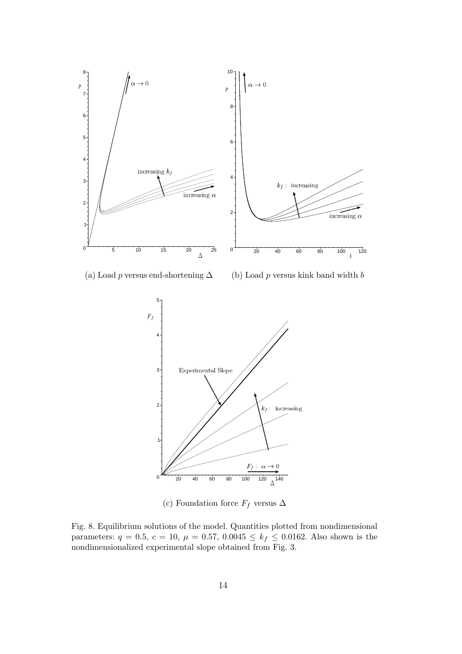

(c) Foundation force  $F_f$  versus  $\Delta$ 

Fig. 8. Equilibrium solutions of the model. Quantities plotted from nondimensional parameters:  $q = 0.5$ ,  $c = 10$ ,  $\mu = 0.57$ ,  $0.0045 \le k_f \le 0.0162$ . Also shown is the nondimensionalized experimental slope obtained from Fig. 3.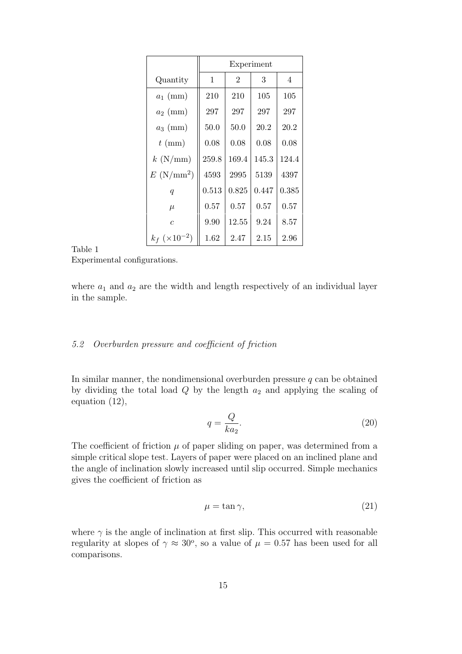|                            | Experiment |                |       |       |  |  |  |
|----------------------------|------------|----------------|-------|-------|--|--|--|
| Quantity                   | 1          | $\overline{2}$ | 3     | 4     |  |  |  |
| $a_1$ (mm)                 | 210        | 210            | 105   | 105   |  |  |  |
| $a_2$ (mm)                 | 297        | 297            | 297   | 297   |  |  |  |
| $a_3$ (mm)                 | 50.0       | 50.0           | 20.2  | 20.2  |  |  |  |
| $t \text{ (mm)}$           | 0.08       | 0.08           | 0.08  | 0.08  |  |  |  |
| $k \, (\text{N/mm})$       | 259.8      | 169.4          | 145.3 | 124.4 |  |  |  |
| $E~(\text{N/mm}^2)$        | 4593       | 2995           | 5139  | 4397  |  |  |  |
| $\boldsymbol{q}$           | 0.513      | 0.825          | 0.447 | 0.385 |  |  |  |
| $\mu$                      | 0.57       | 0.57           | 0.57  | 0.57  |  |  |  |
| $\overline{c}$             | 9.90       | 12.55          | 9.24  | 8.57  |  |  |  |
| $k_f$ (×10 <sup>-2</sup> ) | 1.62       | 2.47           | 2.15  | 2.96  |  |  |  |

#### Table 1

Experimental configurations.

where  $a_1$  and  $a_2$  are the width and length respectively of an individual layer in the sample.

# 5.2 Overburden pressure and coefficient of friction

In similar manner, the nondimensional overburden pressure  $q$  can be obtained by dividing the total load  $Q$  by the length  $a_2$  and applying the scaling of equation (12),

$$
q = \frac{Q}{ka_2}.\tag{20}
$$

The coefficient of friction  $\mu$  of paper sliding on paper, was determined from a simple critical slope test. Layers of paper were placed on an inclined plane and the angle of inclination slowly increased until slip occurred. Simple mechanics gives the coefficient of friction as

$$
\mu = \tan \gamma,\tag{21}
$$

where  $\gamma$  is the angle of inclination at first slip. This occurred with reasonable regularity at slopes of  $\gamma \approx 30^{\circ}$ , so a value of  $\mu = 0.57$  has been used for all comparisons.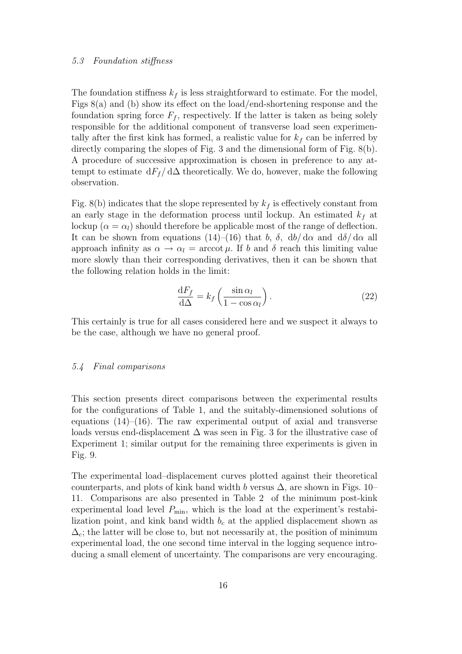#### 5.3 Foundation stiffness

The foundation stiffness  $k_f$  is less straightforward to estimate. For the model, Figs 8(a) and (b) show its effect on the load/end-shortening response and the foundation spring force  $F_f$ , respectively. If the latter is taken as being solely responsible for the additional component of transverse load seen experimentally after the first kink has formed, a realistic value for  $k_f$  can be inferred by directly comparing the slopes of Fig. 3 and the dimensional form of Fig. 8(b). A procedure of successive approximation is chosen in preference to any attempt to estimate  $dF_f/d\Delta$  theoretically. We do, however, make the following observation.

Fig. 8(b) indicates that the slope represented by  $k_f$  is effectively constant from an early stage in the deformation process until lockup. An estimated  $k_f$  at lockup ( $\alpha = \alpha_l$ ) should therefore be applicable most of the range of deflection. It can be shown from equations (14)–(16) that b,  $\delta$ , db/ d $\alpha$  and d $\delta$ / d $\alpha$  all approach infinity as  $\alpha \to \alpha_l = \arccot \mu$ . If b and  $\delta$  reach this limiting value more slowly than their corresponding derivatives, then it can be shown that the following relation holds in the limit:

$$
\frac{\mathrm{d}F_f}{\mathrm{d}\Delta} = k_f \left( \frac{\sin \alpha_l}{1 - \cos \alpha_l} \right). \tag{22}
$$

This certainly is true for all cases considered here and we suspect it always to be the case, although we have no general proof.

#### 5.4 Final comparisons

This section presents direct comparisons between the experimental results for the configurations of Table 1, and the suitably-dimensioned solutions of equations  $(14)$ – $(16)$ . The raw experimental output of axial and transverse loads versus end-displacement  $\Delta$  was seen in Fig. 3 for the illustrative case of Experiment 1; similar output for the remaining three experiments is given in Fig. 9.

The experimental load–displacement curves plotted against their theoretical counterparts, and plots of kink band width b versus  $\Delta$ , are shown in Figs. 10– 11. Comparisons are also presented in Table 2 of the minimum post-kink experimental load level  $P_{\min}$ , which is the load at the experiment's restabilization point, and kink band width  $b<sub>c</sub>$  at the applied displacement shown as  $\Delta_c$ ; the latter will be close to, but not necessarily at, the position of minimum experimental load, the one second time interval in the logging sequence introducing a small element of uncertainty. The comparisons are very encouraging.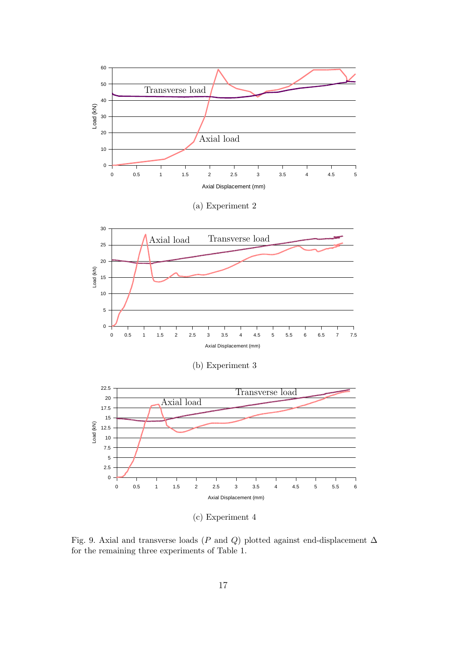

(c) Experiment 4

Fig. 9. Axial and transverse loads (P and Q) plotted against end-displacement  $\Delta$ for the remaining three experiments of Table 1.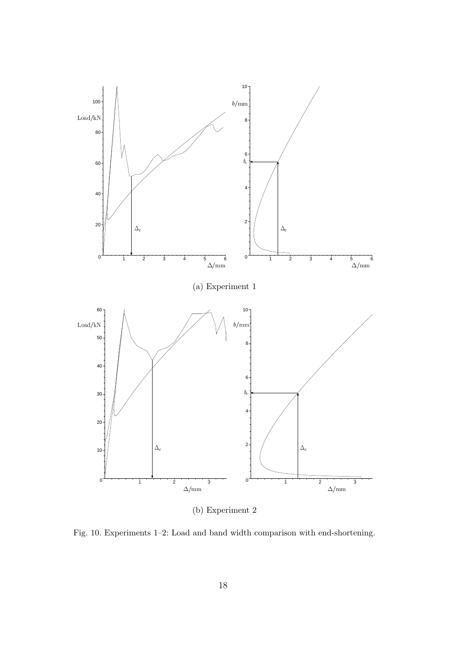

(b) Experiment 2

Fig. 10. Experiments 1–2: Load and band width comparison with end-shortening.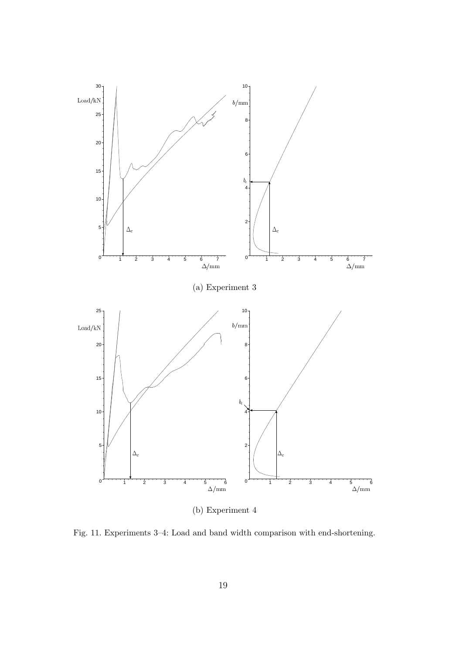

(b) Experiment 4

Fig. 11. Experiments 3–4: Load and band width comparison with end-shortening.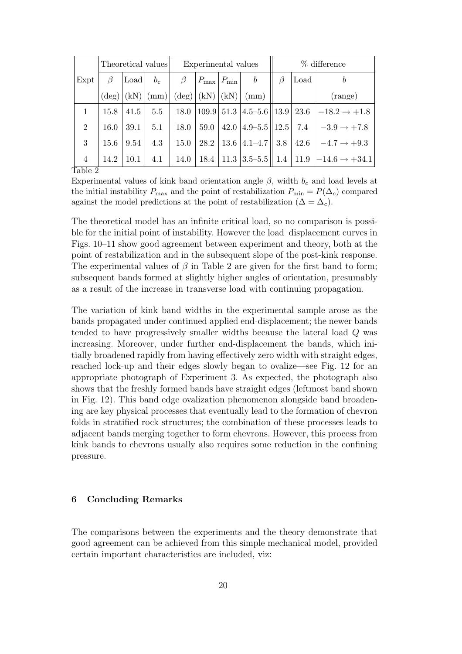|                                    | Theoretical values |      | Experimental values |         |                                     | $%$ difference |                                                                          |         |      |                                                                              |
|------------------------------------|--------------------|------|---------------------|---------|-------------------------------------|----------------|--------------------------------------------------------------------------|---------|------|------------------------------------------------------------------------------|
| Expt                               | $\beta$            | Load | $b_c$               | $\beta$ | $ P_{\text{max}} $ $P_{\text{min}}$ |                | b                                                                        | $\beta$ | Load |                                                                              |
|                                    |                    |      |                     |         |                                     |                | $(\deg)(kN)$ $(\text{mm})$ $\ (\text{deg}) $ $(kN)$ $(kN)$ $(\text{mm})$ |         |      | (range)                                                                      |
|                                    | 15.8               | 41.5 | 5.5                 |         |                                     |                |                                                                          |         |      | 18.0    109.9    51.3    4.5–5.6    13.9    23.6    $-18.2 \rightarrow +1.8$ |
| $\overline{2}$                     | 16.0               | 39.1 | 5.1                 |         |                                     |                | 18.0   59.0   42.0   4.9–5.5    12.5                                     |         |      | 7.4 $-3.9 \rightarrow +7.8$                                                  |
| 3                                  | 15.6               | 9.54 | 4.3                 | 15.0    |                                     |                |                                                                          |         |      | 28.2   13.6   4.1–4.7    3.8   42.6   $-4.7 \rightarrow +9.3$                |
| $\overline{4}$<br>m 11<br>$\Omega$ | 14.2               | 10.1 | 4.1                 |         |                                     |                |                                                                          |         |      | 14.0   18.4   11.3   3.5–5.5    1.4   11.9   $-14.6 \rightarrow +34.1$       |

Table 2

Experimental values of kink band orientation angle  $\beta$ , width  $b_c$  and load levels at the initial instability  $P_{\text{max}}$  and the point of restabilization  $P_{\text{min}} = P(\Delta_c)$  compared against the model predictions at the point of restabilization ( $\Delta = \Delta_c$ ).

The theoretical model has an infinite critical load, so no comparison is possible for the initial point of instability. However the load–displacement curves in Figs. 10–11 show good agreement between experiment and theory, both at the point of restabilization and in the subsequent slope of the post-kink response. The experimental values of  $\beta$  in Table 2 are given for the first band to form; subsequent bands formed at slightly higher angles of orientation, presumably as a result of the increase in transverse load with continuing propagation.

The variation of kink band widths in the experimental sample arose as the bands propagated under continued applied end-displacement; the newer bands tended to have progressively smaller widths because the lateral load Q was increasing. Moreover, under further end-displacement the bands, which initially broadened rapidly from having effectively zero width with straight edges, reached lock-up and their edges slowly began to ovalize—see Fig. 12 for an appropriate photograph of Experiment 3. As expected, the photograph also shows that the freshly formed bands have straight edges (leftmost band shown in Fig. 12). This band edge ovalization phenomenon alongside band broadening are key physical processes that eventually lead to the formation of chevron folds in stratified rock structures; the combination of these processes leads to adjacent bands merging together to form chevrons. However, this process from kink bands to chevrons usually also requires some reduction in the confining pressure.

# 6 Concluding Remarks

The comparisons between the experiments and the theory demonstrate that good agreement can be achieved from this simple mechanical model, provided certain important characteristics are included, viz: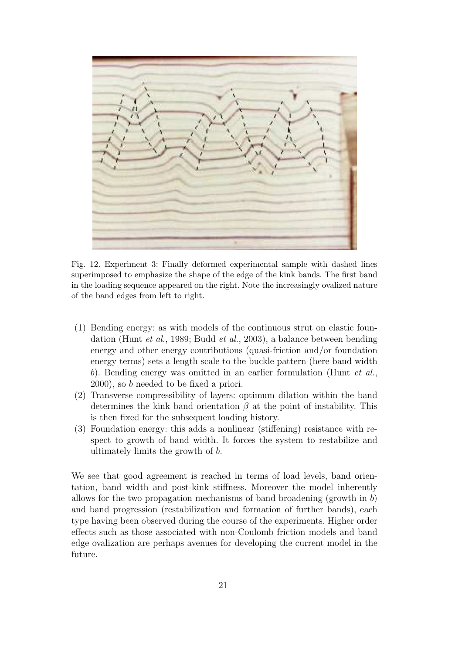

Fig. 12. Experiment 3: Finally deformed experimental sample with dashed lines superimposed to emphasize the shape of the edge of the kink bands. The first band in the loading sequence appeared on the right. Note the increasingly ovalized nature of the band edges from left to right.

- (1) Bending energy: as with models of the continuous strut on elastic foundation (Hunt et al., 1989; Budd et al., 2003), a balance between bending energy and other energy contributions (quasi-friction and/or foundation energy terms) sets a length scale to the buckle pattern (here band width b). Bending energy was omitted in an earlier formulation (Hunt *et al.*, 2000), so b needed to be fixed a priori.
- (2) Transverse compressibility of layers: optimum dilation within the band determines the kink band orientation  $\beta$  at the point of instability. This is then fixed for the subsequent loading history.
- (3) Foundation energy: this adds a nonlinear (stiffening) resistance with respect to growth of band width. It forces the system to restabilize and ultimately limits the growth of b.

We see that good agreement is reached in terms of load levels, band orientation, band width and post-kink stiffness. Moreover the model inherently allows for the two propagation mechanisms of band broadening (growth in  $b$ ) and band progression (restabilization and formation of further bands), each type having been observed during the course of the experiments. Higher order effects such as those associated with non-Coulomb friction models and band edge ovalization are perhaps avenues for developing the current model in the future.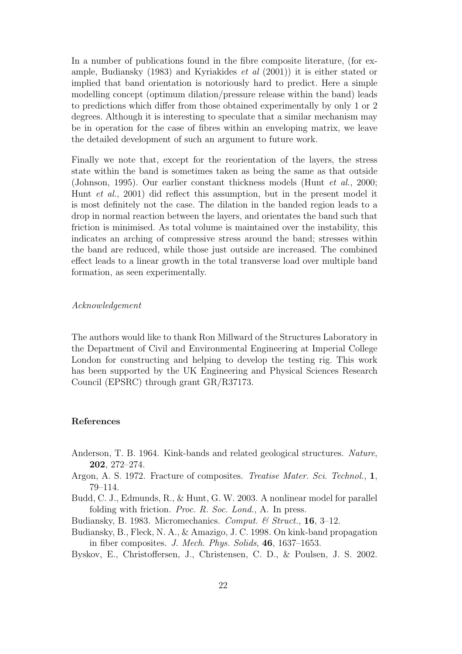In a number of publications found in the fibre composite literature, (for example, Budiansky (1983) and Kyriakides et al (2001)) it is either stated or implied that band orientation is notoriously hard to predict. Here a simple modelling concept (optimum dilation/pressure release within the band) leads to predictions which differ from those obtained experimentally by only 1 or 2 degrees. Although it is interesting to speculate that a similar mechanism may be in operation for the case of fibres within an enveloping matrix, we leave the detailed development of such an argument to future work.

Finally we note that, except for the reorientation of the layers, the stress state within the band is sometimes taken as being the same as that outside (Johnson, 1995). Our earlier constant thickness models (Hunt et al., 2000; Hunt et al., 2001) did reflect this assumption, but in the present model it is most definitely not the case. The dilation in the banded region leads to a drop in normal reaction between the layers, and orientates the band such that friction is minimised. As total volume is maintained over the instability, this indicates an arching of compressive stress around the band; stresses within the band are reduced, while those just outside are increased. The combined effect leads to a linear growth in the total transverse load over multiple band formation, as seen experimentally.

#### Acknowledgement

The authors would like to thank Ron Millward of the Structures Laboratory in the Department of Civil and Environmental Engineering at Imperial College London for constructing and helping to develop the testing rig. This work has been supported by the UK Engineering and Physical Sciences Research Council (EPSRC) through grant GR/R37173.

# References

- Anderson, T. B. 1964. Kink-bands and related geological structures. Nature, 202, 272–274.
- Argon, A. S. 1972. Fracture of composites. Treatise Mater. Sci. Technol., 1, 79–114.
- Budd, C. J., Edmunds, R., & Hunt, G. W. 2003. A nonlinear model for parallel folding with friction. *Proc. R. Soc. Lond.*, A. In press.
- Budiansky, B. 1983. Micromechanics. Comput. & Struct., 16, 3-12.
- Budiansky, B., Fleck, N. A., & Amazigo, J. C. 1998. On kink-band propagation in fiber composites. J. Mech. Phys. Solids, 46, 1637–1653.

Byskov, E., Christoffersen, J., Christensen, C. D., & Poulsen, J. S. 2002.